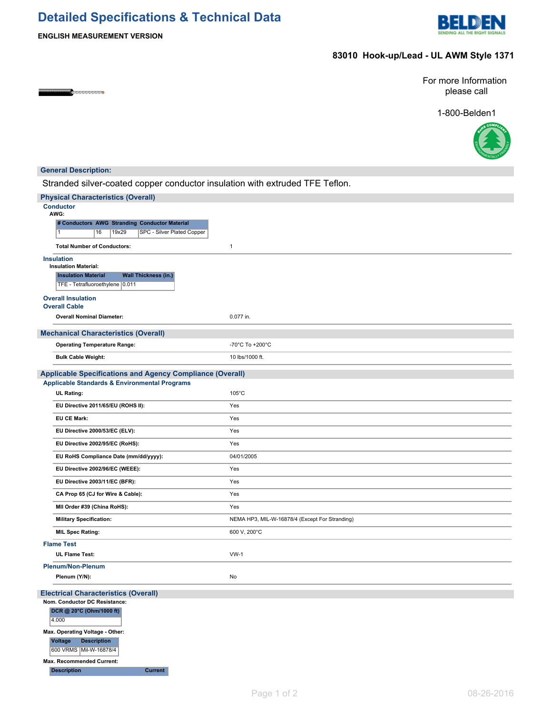# **Detailed Specifications & Technical Data**



**ENGLISH MEASUREMENT VERSION**

## **83010 Hook-up/Lead - UL AWM Style 1371**

**COMPANY SERVICE AND RESIDENCE** 

For more Information please call

1-800-Belden1



| <b>General Description:</b>                                                                                                  |                                                |  |  |  |  |
|------------------------------------------------------------------------------------------------------------------------------|------------------------------------------------|--|--|--|--|
| Stranded silver-coated copper conductor insulation with extruded TFE Teflon.                                                 |                                                |  |  |  |  |
| <b>Physical Characteristics (Overall)</b>                                                                                    |                                                |  |  |  |  |
| <b>Conductor</b><br>AWG:                                                                                                     |                                                |  |  |  |  |
| # Conductors AWG Stranding Conductor Material<br>SPC - Silver Plated Copper<br>16<br>19x29<br>1                              |                                                |  |  |  |  |
| <b>Total Number of Conductors:</b>                                                                                           | $\mathbf{1}$                                   |  |  |  |  |
| <b>Insulation</b>                                                                                                            |                                                |  |  |  |  |
| <b>Insulation Material:</b><br><b>Wall Thickness (in.)</b><br><b>Insulation Material</b>                                     |                                                |  |  |  |  |
| TFE - Tetrafluoroethylene 0.011                                                                                              |                                                |  |  |  |  |
| <b>Overall Insulation</b>                                                                                                    |                                                |  |  |  |  |
| <b>Overall Cable</b>                                                                                                         |                                                |  |  |  |  |
| <b>Overall Nominal Diameter:</b>                                                                                             | 0.077 in.                                      |  |  |  |  |
| <b>Mechanical Characteristics (Overall)</b>                                                                                  |                                                |  |  |  |  |
| <b>Operating Temperature Range:</b>                                                                                          | -70°C To +200°C                                |  |  |  |  |
| <b>Bulk Cable Weight:</b>                                                                                                    | 10 lbs/1000 ft.                                |  |  |  |  |
| <b>Applicable Specifications and Agency Compliance (Overall)</b><br><b>Applicable Standards &amp; Environmental Programs</b> |                                                |  |  |  |  |
| UL Rating:                                                                                                                   | $105^{\circ}$ C                                |  |  |  |  |
| EU Directive 2011/65/EU (ROHS II):                                                                                           | Yes                                            |  |  |  |  |
| <b>EU CE Mark:</b>                                                                                                           | Yes                                            |  |  |  |  |
| EU Directive 2000/53/EC (ELV):                                                                                               | Yes                                            |  |  |  |  |
| EU Directive 2002/95/EC (RoHS):                                                                                              | Yes                                            |  |  |  |  |
| EU RoHS Compliance Date (mm/dd/yyyy):                                                                                        | 04/01/2005                                     |  |  |  |  |
| EU Directive 2002/96/EC (WEEE):                                                                                              | Yes                                            |  |  |  |  |
| EU Directive 2003/11/EC (BFR):                                                                                               | Yes                                            |  |  |  |  |
| CA Prop 65 (CJ for Wire & Cable):                                                                                            | Yes                                            |  |  |  |  |
| MII Order #39 (China RoHS):                                                                                                  | Yes                                            |  |  |  |  |
| <b>Military Specification:</b>                                                                                               | NEMA HP3, MIL-W-16878/4 (Except For Stranding) |  |  |  |  |
| <b>MIL Spec Rating:</b>                                                                                                      | 600 V, 200°C                                   |  |  |  |  |
| <b>Flame Test</b>                                                                                                            |                                                |  |  |  |  |
| <b>UL Flame Test:</b>                                                                                                        | $VW-1$                                         |  |  |  |  |
| <b>Plenum/Non-Plenum</b>                                                                                                     |                                                |  |  |  |  |
| Plenum (Y/N):                                                                                                                | No                                             |  |  |  |  |
| <b>Electrical Characteristics (Overall)</b>                                                                                  |                                                |  |  |  |  |
| Nom. Conductor DC Resistance:<br>DCR @ 20°C (Ohm/1000 ft)                                                                    |                                                |  |  |  |  |
| 4.000                                                                                                                        |                                                |  |  |  |  |
| Max. Operating Voltage - Other:                                                                                              |                                                |  |  |  |  |
| <b>Voltage</b><br><b>Description</b>                                                                                         |                                                |  |  |  |  |
| 600 VRMS Mil-W-16878/4                                                                                                       |                                                |  |  |  |  |
| Max. Recommended Current:<br><b>Description</b><br><b>Current</b>                                                            |                                                |  |  |  |  |